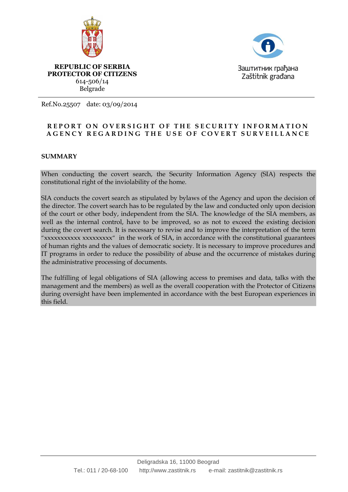



**REPUBLIC OF SERBIA PROTECTOR OF CITIZENS** 614-506/14 Belgrade

Ref.No.25507 date: 03/09/2014

## **REPORT ON OVERSIGHT OF THE SECURITY INFORMATION A G E N C Y R E G A R D I N G T H E U S E O F C O V E R T S U R V E I L L A N C E**

## **SUMMARY**

When conducting the covert search, the Security Information Agency (SIA) respects the constitutional right of the inviolability of the home.

SIA conducts the covert search as stipulated by bylaws of the Agency and upon the decision of the director. The covert search has to be regulated by the law and conducted only upon decision of the court or other body, independent from the SIA. The knowledge of the SIA members, as well as the internal control, have to be improved, so as not to exceed the existing decision during the covert search. It is necessary to revise and to improve the interpretation of the term "xxxxxxxxxxxxxxxxxxxxx" in the work of SIA, in accordance with the constitutional guarantees of human rights and the values of democratic society. It is necessary to improve procedures and IT programs in order to reduce the possibility of abuse and the occurrence of mistakes during the administrative processing of documents.

The fulfilling of legal obligations of SIA (allowing access to premises and data, talks with the management and the members) as well as the overall cooperation with the Protector of Citizens during oversight have been implemented in accordance with the best European experiences in this field.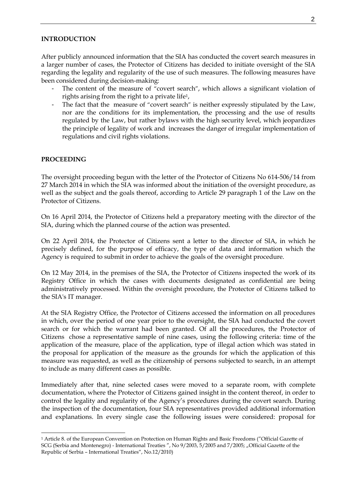#### **INTRODUCTION**

After publicly announced information that the SIA has conducted the covert search measures in a larger number of cases, the Protector of Citizens has decided to initiate oversight of the SIA regarding the legality and regularity of the use of such measures. The following measures have been considered during decision-making:

- The content of the measure of "covert search", which allows a significant violation of rights arising from the right to a private life1,
- The fact that the measure of "covert search" is neither expressly stipulated by the Law, nor are the conditions for its implementation, the processing and the use of results regulated by the Law, but rather bylaws with the high security level, which jeopardizes the principle of legality of work and increases the danger of irregular implementation of regulations and civil rights violations.

## **PROCEEDING**

 $\overline{a}$ 

The oversight proceeding begun with the letter of the Protector of Citizens No 614-506/14 from 27 March 2014 in which the SIA was informed about the initiation of the oversight procedure, as well as the subject and the goals thereof, according to Article 29 paragraph 1 of the Law on the Protector of Citizens.

On 16 April 2014, the Protector of Citizens held a preparatory meeting with the director of the SIA, during which the planned course of the action was presented.

On 22 April 2014, the Protector of Citizens sent a letter to the director of SIA, in which he precisely defined, for the purpose of efficacy, the type of data and information which the Agency is required to submit in order to achieve the goals of the oversight procedure.

On 12 May 2014, in the premises of the SIA, the Protector of Citizens inspected the work of its Registry Office in which the cases with documents designated as confidential are being administratively processed. Within the oversight procedure, the Protector of Citizens talked to the SIA's IT manager.

At the SIA Registry Office, the Protector of Citizens accessed the information on all procedures in which, over the period of one year prior to the oversight, the SIA had conducted the covert search or for which the warrant had been granted. Of all the procedures, the Protector of Citizens chose a representative sample of nine cases, using the following criteria: time of the application of the measure, place of the application, type of illegal action which was stated in the proposal for application of the measure as the grounds for which the application of this measure was requested, as well as the citizenship of persons subjected to search, in an attempt to include as many different cases as possible.

Immediately after that, nine selected cases were moved to a separate room, with complete documentation, where the Protector of Citizens gained insight in the content thereof, in order to control the legality and regularity of the Agency's procedures during the covert search. During the inspection of the documentation, four SIA representatives provided additional information and explanations. In every single case the following issues were considered: proposal for

<sup>1</sup> Article 8. of the European Convention on Protection on Human Rights and Basic Freedoms ("Official Gazette of SCG (Serbia and Montenegro) - International Treaties ", No 9/2003, 5/2005 and 7/2005; "Official Gazette of the Republic of Serbia – International Treaties", No.12/2010)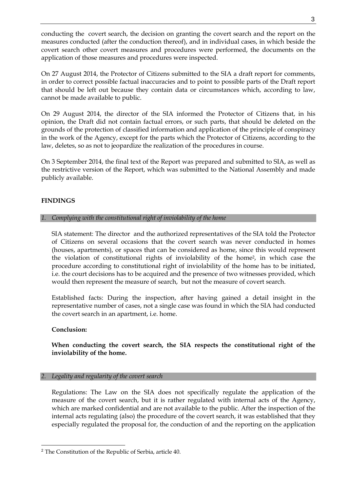conducting the covert search, the decision on granting the covert search and the report on the measures conducted (after the conduction thereof), and in individual cases, in which beside the covert search other covert measures and procedures were performed, the documents on the application of those measures and procedures were inspected.

On 27 August 2014, the Protector of Citizens submitted to the SIA a draft report for comments, in order to correct possible factual inaccuracies and to point to possible parts of the Draft report that should be left out because they contain data or circumstances which, according to law, cannot be made available to public.

On 29 August 2014, the director of the SIA informed the Protector of Citizens that, in his opinion, the Draft did not contain factual errors, or such parts, that should be deleted on the grounds of the protection of classified information and application of the principle of conspiracy in the work of the Agency, except for the parts which the Protector of Citizens, according to the law, deletes, so as not to jeopardize the realization of the procedures in course.

On 3 September 2014, the final text of the Report was prepared and submitted to SIA, as well as the restrictive version of the Report, which was submitted to the National Assembly and made publicly available.

# **FINDINGS**

# *1. Complying with the constitutional right of inviolability of the home*

SIA statement: The director and the authorized representatives of the SIA told the Protector of Citizens on several occasions that the covert search was never conducted in homes (houses, apartments), or spaces that can be considered as home, since this would represent the violation of constitutional rights of inviolability of the home2, in which case the procedure according to constitutional right of inviolability of the home has to be initiated, i.e. the court decisions has to be acquired and the presence of two witnesses provided, which would then represent the measure of search, but not the measure of covert search.

Established facts: During the inspection, after having gained a detail insight in the representative number of cases, not a single case was found in which the SIA had conducted the covert search in an apartment, i.e. home.

## **Conclusion:**

# **When conducting the covert search, the SIA respects the constitutional right of the inviolability of the home.**

## *2. Legality and regularity of the covert search*

Regulations: The Law on the SIA does not specifically regulate the application of the measure of the covert search, but it is rather regulated with internal acts of the Agency, which are marked confidential and are not available to the public. After the inspection of the internal acts regulating (also) the procedure of the covert search, it was established that they especially regulated the proposal for, the conduction of and the reporting on the application

<sup>2</sup> The Constitution of the Republic of Serbia, article 40.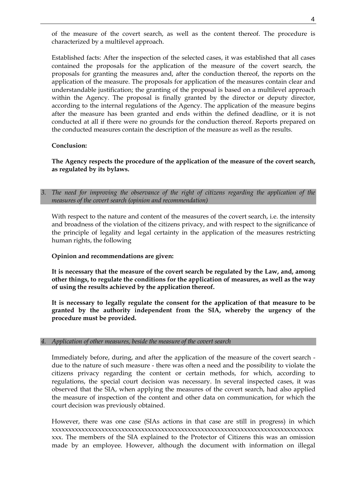of the measure of the covert search, as well as the content thereof. The procedure is characterized by a multilevel approach.

Established facts: After the inspection of the selected cases, it was established that all cases contained the proposals for the application of the measure of the covert search, the proposals for granting the measures and, after the conduction thereof, the reports on the application of the measure. The proposals for application of the measures contain clear and understandable justification; the granting of the proposal is based on a multilevel approach within the Agency. The proposal is finally granted by the director or deputy director, according to the internal regulations of the Agency. The application of the measure begins after the measure has been granted and ends within the defined deadline, or it is not conducted at all if there were no grounds for the conduction thereof. Reports prepared on the conducted measures contain the description of the measure as well as the results.

### **Conclusion:**

**The Agency respects the procedure of the application of the measure of the covert search, as regulated by its bylaws.**

*3. The need for improving the observance of the right of citizens regarding the application of the measures of the covert search (opinion and recommendation)*

With respect to the nature and content of the measures of the covert search, i.e. the intensity and broadness of the violation of the citizens privacy, and with respect to the significance of the principle of legality and legal certainty in the application of the measures restricting human rights, the following

## **Opinion and recommendations are given:**

**It is necessary that the measure of the covert search be regulated by the Law, and, among other things, to regulate the conditions for the application of measures, as well as the way of using the results achieved by the application thereof.** 

**It is necessary to legally regulate the consent for the application of that measure to be granted by the authority independent from the SIA, whereby the urgency of the procedure must be provided.**

#### *4. Application of other measures, beside the measure of the covert search*

Immediately before, during, and after the application of the measure of the covert search due to the nature of such measure - there was often a need and the possibility to violate the citizens privacy regarding the content or certain methods, for which, according to regulations, the special court decision was necessary. In several inspected cases, it was observed that the SIA, when applying the measures of the covert search, had also applied the measure of inspection of the content and other data on communication, for which the court decision was previously obtained.

However, there was one case (SIAs actions in that case are still in progress) in which xxxxxxxxxxxxxxxxxxxxxxxxxxxxxxxxxxxxxxxxxxxxxxxxxxxxxxxxxxxxxxxxxxxxxxxxxxxxxxx xxx. The members of the SIA explained to the Protector of Citizens this was an omission made by an employee. However, although the document with information on illegal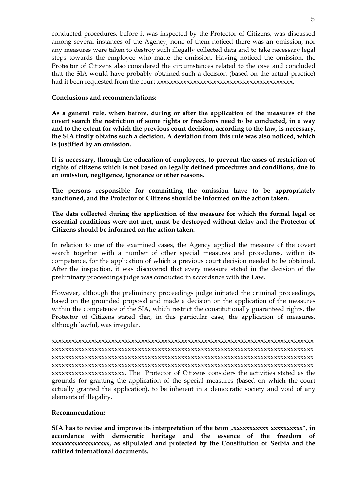conducted procedures, before it was inspected by the Protector of Citizens, was discussed among several instances of the Agency, none of them noticed there was an omission, nor any measures were taken to destroy such illegally collected data and to take necessary legal steps towards the employee who made the omission. Having noticed the omission, the Protector of Citizens also considered the circumstances related to the case and concluded that the SIA would have probably obtained such a decision (based on the actual practice) had it been requested from the court xxxxxxxxxxxxxxxxxxxxxxxxxxxxxxxxxxxxxxxxx.

### **Conclusions and recommendations:**

**As a general rule, when before, during or after the application of the measures of the covert search the restriction of some rights or freedoms need to be conducted, in a way and to the extent for which the previous court decision, according to the law, is necessary, the SIA firstly obtains such a decision. A deviation from this rule was also noticed, which is justified by an omission.**

**It is necessary, through the education of employees, to prevent the cases of restriction of rights of citizens which is not based on legally defined procedures and conditions, due to an omission, negligence, ignorance or other reasons.** 

**The persons responsible for committing the omission have to be appropriately sanctioned, and the Protector of Citizens should be informed on the action taken.**

**The data collected during the application of the measure for which the formal legal or essential conditions were not met, must be destroyed without delay and the Protector of Citizens should be informed on the action taken.**

In relation to one of the examined cases, the Agency applied the measure of the covert search together with a number of other special measures and procedures, within its competence, for the application of which a previous court decision needed to be obtained. After the inspection, it was discovered that every measure stated in the decision of the preliminary proceedings judge was conducted in accordance with the Law.

However, although the preliminary proceedings judge initiated the criminal proceedings, based on the grounded proposal and made a decision on the application of the measures within the competence of the SIA, which restrict the constitutionally guaranteed rights, the Protector of Citizens stated that, in this particular case, the application of measures, although lawful, was irregular.

xxxxxxxxxxxxxxxxxxxxxxxxxxxxxxxxxxxxxxxxxxxxxxxxxxxxxxxxxxxxxxxxxxxxxxxxxxxxxxx xxxxxxxxxxxxxxxxxxxxxxxxxxxxxxxxxxxxxxxxxxxxxxxxxxxxxxxxxxxxxxxxxxxxxxxxxxxxxxx xxxxxxxxxxxxxxxxxxxxxxxxxxxxxxxxxxxxxxxxxxxxxxxxxxxxxxxxxxxxxxxxxxxxxxxxxxxxxxx xxxxxxxxxxxxxxxxxxxxxxxxxxxxxxxxxxxxxxxxxxxxxxxxxxxxxxxxxxxxxxxxxxxxxxxxxxxxxxx xxxxxxxxxxxxxxxxxxxxxx. The Protector of Citizens considers the activities stated as the grounds for granting the application of the special measures (based on which the court actually granted the application), to be inherent in a democratic society and void of any elements of illegality.

#### **Recommendation:**

**SIA** has to revise and improve its interpretation of the term , **xxxxxxxxxx** xxxxxxxxx<sup>"</sup>, in **accordance with democratic heritage and the essence of the freedom of xxxxxxxxxxxxxxxxxx, as stipulated and protected by the Constitution of Serbia and the ratified international documents.**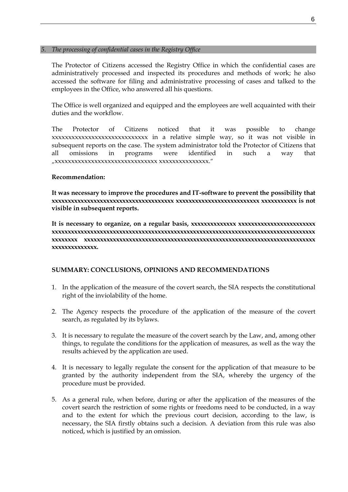## *5. The processing of confidential cases in the Registry Office*

The Protector of Citizens accessed the Registry Office in which the confidential cases are administratively processed and inspected its procedures and methods of work; he also accessed the software for filing and administrative processing of cases and talked to the employees in the Office, who answered all his questions.

The Office is well organized and equipped and the employees are well acquainted with their duties and the workflow.

The Protector of Citizens noticed that it was possible to change xxxxxxxxxxxxxxxxxxxxxxxxxxxxx in a relative simple way, so it was not visible in subsequent reports on the case. The system administrator told the Protector of Citizens that all omissions in programs were identified in such a way that "xxxxxxxxxxxxxxxxxxxxxxxxxxxxxxx xxxxxxxxxxxxxxx."

### **Recommendation:**

**It was necessary to improve the procedures and IT-software to prevent the possibility that xxxxxxxxxxxxxxxxxxxxxxxxxxxxxxxxxxxxxx xxxxxxxxxxxxxxxxxxxxxxxxxx xxxxxxxxxxx is not visible in subsequent reports.**

**It is necessary to organize, on a regular basis, xxxxxxxxxxxxxx xxxxxxxxxxxxxxxxxxxxxxxx xxxxxxxxxxxxxxxxxxxxxxxxxxxxxxxxxxxxxxxxxxxxxxxxxxxxxxxxxxxxxxxxxxxxxxxxxxxxxxxxxx xxxxxxxx xxxxxxxxxxxxxxxxxxxxxxxxxxxxxxxxxxxxxxxxxxxxxxxxxxxxxxxxxxxxxxxxxxxxxxxx xxxxxxxxxxxxxx.**

## **SUMMARY: CONCLUSIONS, OPINIONS AND RECOMMENDATIONS**

- 1. In the application of the measure of the covert search, the SIA respects the constitutional right of the inviolability of the home.
- 2. The Agency respects the procedure of the application of the measure of the covert search, as regulated by its bylaws.
- 3. It is necessary to regulate the measure of the covert search by the Law, and, among other things, to regulate the conditions for the application of measures, as well as the way the results achieved by the application are used.
- 4. It is necessary to legally regulate the consent for the application of that measure to be granted by the authority independent from the SIA, whereby the urgency of the procedure must be provided.
- 5. As a general rule, when before, during or after the application of the measures of the covert search the restriction of some rights or freedoms need to be conducted, in a way and to the extent for which the previous court decision, according to the law, is necessary, the SIA firstly obtains such a decision. A deviation from this rule was also noticed, which is justified by an omission.